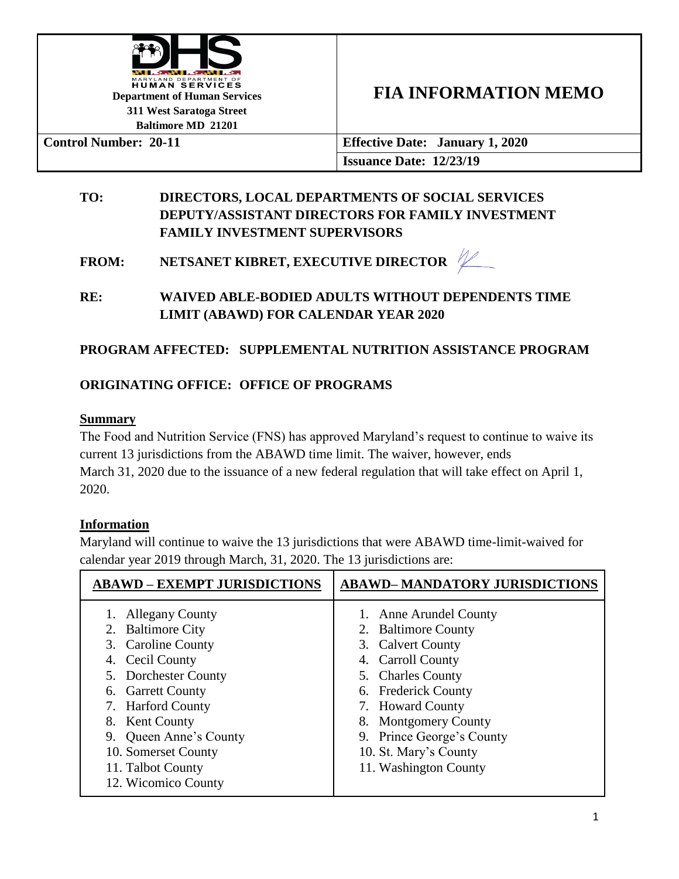

# **FIA INFORMATION MEMO**

**Control Number: 20-11 Effective Date: January 1, 2020 Issuance Date: 12/23/19**

## **TO: DIRECTORS, LOCAL DEPARTMENTS OF SOCIAL SERVICES DEPUTY/ASSISTANT DIRECTORS FOR FAMILY INVESTMENT FAMILY INVESTMENT SUPERVISORS**

**FROM: NETSANET KIBRET, EXECUTIVE DIRECTOR** 

**RE: WAIVED ABLE-BODIED ADULTS WITHOUT DEPENDENTS TIME LIMIT (ABAWD) FOR CALENDAR YEAR 2020**

# **PROGRAM AFFECTED: SUPPLEMENTAL NUTRITION ASSISTANCE PROGRAM**

## **ORIGINATING OFFICE: OFFICE OF PROGRAMS**

#### **Summary**

The Food and Nutrition Service (FNS) has approved Maryland's request to continue to waive its current 13 jurisdictions from the ABAWD time limit. The waiver, however, ends March 31, 2020 due to the issuance of a new federal regulation that will take effect on April 1, 2020.

## **Information**

Maryland will continue to waive the 13 jurisdictions that were ABAWD time-limit-waived for calendar year 2019 through March, 31, 2020. The 13 jurisdictions are:

| <b>ABAWD – EXEMPT JURISDICTIONS</b>                                                                                                                                                                                                                                         | <b>ABAWD-MANDATORY JURISDICTIONS</b>                                                                                                                                                                                                                                            |
|-----------------------------------------------------------------------------------------------------------------------------------------------------------------------------------------------------------------------------------------------------------------------------|---------------------------------------------------------------------------------------------------------------------------------------------------------------------------------------------------------------------------------------------------------------------------------|
| <b>Allegany County</b><br>2. Baltimore City<br>3. Caroline County<br>Cecil County<br>4.<br>5. Dorchester County<br>6. Garrett County<br>7. Harford County<br>8. Kent County<br>Queen Anne's County<br>9.<br>10. Somerset County<br>11. Talbot County<br>12. Wicomico County | Anne Arundel County<br><b>Baltimore County</b><br>2.<br>3. Calvert County<br><b>Carroll County</b><br>4.<br>5. Charles County<br>6. Frederick County<br>7. Howard County<br>8. Montgomery County<br>9. Prince George's County<br>10. St. Mary's County<br>11. Washington County |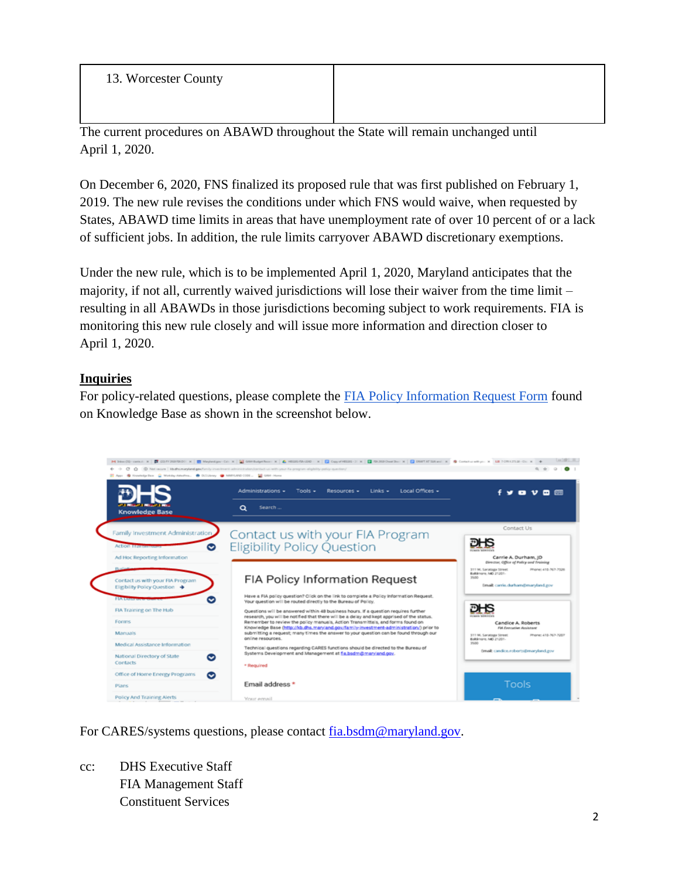13. Worcester County

The current procedures on ABAWD throughout the State will remain unchanged until April 1, 2020.

On December 6, 2020, FNS finalized its proposed rule that was first published on February 1, 2019. The new rule revises the conditions under which FNS would waive, when requested by States, ABAWD time limits in areas that have unemployment rate of over 10 percent of or a lack of sufficient jobs. In addition, the rule limits carryover ABAWD discretionary exemptions.

Under the new rule, which is to be implemented April 1, 2020, Maryland anticipates that the majority, if not all, currently waived jurisdictions will lose their waiver from the time limit – resulting in all ABAWDs in those jurisdictions becoming subject to work requirements. FIA is monitoring this new rule closely and will issue more information and direction closer to April 1, 2020.

#### **Inquiries**

For policy-related questions, please complete the [FIA Policy Information Request Form](http://kb.dhs.maryland.gov/family-investment-administration/contact-us-with-your-fia-program-eligibility-policy-question/) found on Knowledge Base as shown in the screenshot below.



For CARES/systems questions, please contact [fia.bsdm@maryland.gov.](mailto:fia.bsdm@maryland.gov)

cc: DHS Executive Staff FIA Management Staff Constituent Services